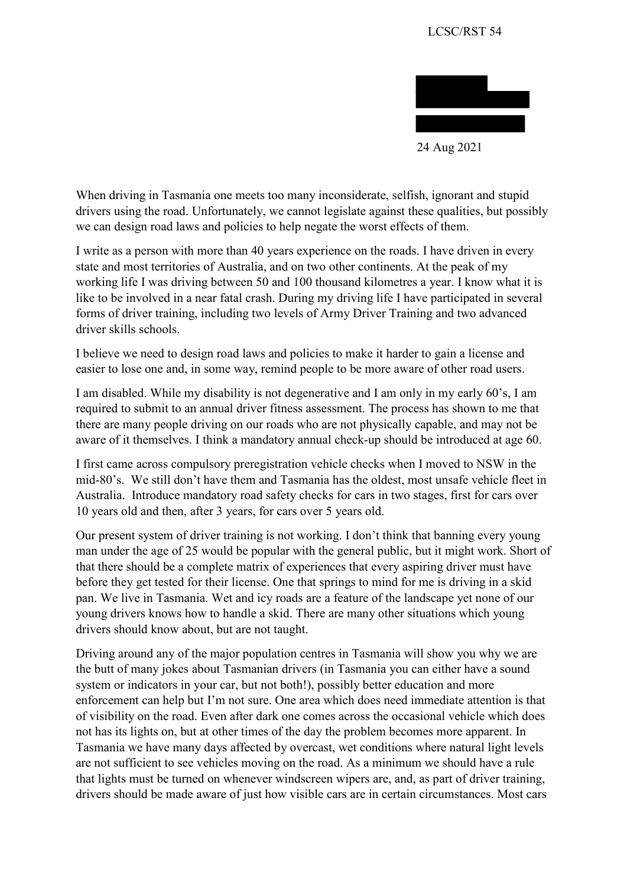

 drivers using the road. Unfortunately, we cannot legislate against these qualities, but possibly When driving in Tasmania one meets too many inconsiderate, selfish, ignorant and stupid we can design road laws and policies to help negate the worst effects of them.

 working life I was driving between 50 and 100 thousand kilometres a year. I know what it is like to be involved in a near fatal crash. During my driving life I have participated in several I write as a person with more than 40 years experience on the roads. I have driven in every state and most territories of Australia, and on two other continents. At the peak of my forms of driver training, including two levels of Army Driver Training and two advanced driver skills schools.

I believe we need to design road laws and policies to make it harder to gain a license and easier to lose one and, in some way, remind people to be more aware of other road users.

 I am disabled. While my disability is not degenerative and I am only in my early 60's, I am aware of it themselves. I think a mandatory annual check-up should be introduced at age 60. required to submit to an annual driver fitness assessment. The process has shown to me that there are many people driving on our roads who are not physically capable, and may not be

 mid-80's. We still don't have them and Tasmania has the oldest, most unsafe vehicle fleet in 10 years old and then, after 3 years, for cars over 5 years old. I first came across compulsory preregistration vehicle checks when I moved to NSW in the Australia. Introduce mandatory road safety checks for cars in two stages, first for cars over

 Our present system of driver training is not working. I don't think that banning every young man under the age of 25 would be popular with the general public, but it might work. Short of that there should be a complete matrix of experiences that every aspiring driver must have before they get tested for their license. One that springs to mind for me is driving in a skid pan. We live in Tasmania. Wet and icy roads are a feature of the landscape yet none of our young drivers knows how to handle a skid. There are many other situations which young drivers should know about, but are not taught.

 Tasmania we have many days affected by overcast, wet conditions where natural light levels Driving around any of the major population centres in Tasmania will show you why we are the butt of many jokes about Tasmanian drivers (in Tasmania you can either have a sound system or indicators in your car, but not both!), possibly better education and more enforcement can help but I'm not sure. One area which does need immediate attention is that of visibility on the road. Even after dark one comes across the occasional vehicle which does not has its lights on, but at other times of the day the problem becomes more apparent. In are not sufficient to see vehicles moving on the road. As a minimum we should have a rule that lights must be turned on whenever windscreen wipers are, and, as part of driver training, drivers should be made aware of just how visible cars are in certain circumstances. Most cars